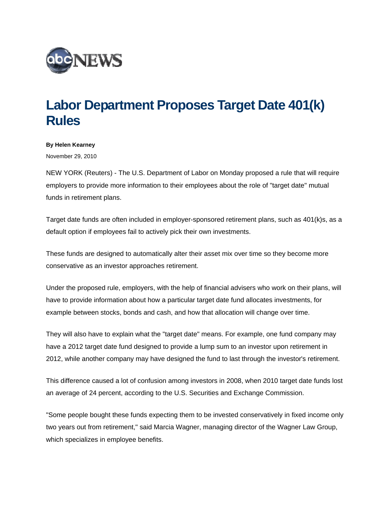

## **Labor Department Proposes Target Date 401(k) Rules**

## **By Helen Kearney**

November 29, 2010

NEW YORK (Reuters) - The U.S. Department of Labor on Monday proposed a rule that will require employers to provide more information to their employees about the role of "target date" mutual funds in retirement plans.

Target date funds are often included in employer-sponsored retirement plans, such as 401(k)s, as a default option if employees fail to actively pick their own investments.

These funds are designed to automatically alter their asset mix over time so they become more conservative as an investor approaches retirement.

Under the proposed rule, employers, with the help of financial advisers who work on their plans, will have to provide information about how a particular target date fund allocates investments, for example between stocks, bonds and cash, and how that allocation will change over time.

They will also have to explain what the "target date" means. For example, one fund company may have a 2012 target date fund designed to provide a lump sum to an investor upon retirement in 2012, while another company may have designed the fund to last through the investor's retirement.

This difference caused a lot of confusion among investors in 2008, when 2010 target date funds lost an average of 24 percent, according to the U.S. Securities and Exchange Commission.

"Some people bought these funds expecting them to be invested conservatively in fixed income only two years out from retirement," said Marcia Wagner, managing director of the Wagner Law Group, which specializes in employee benefits.